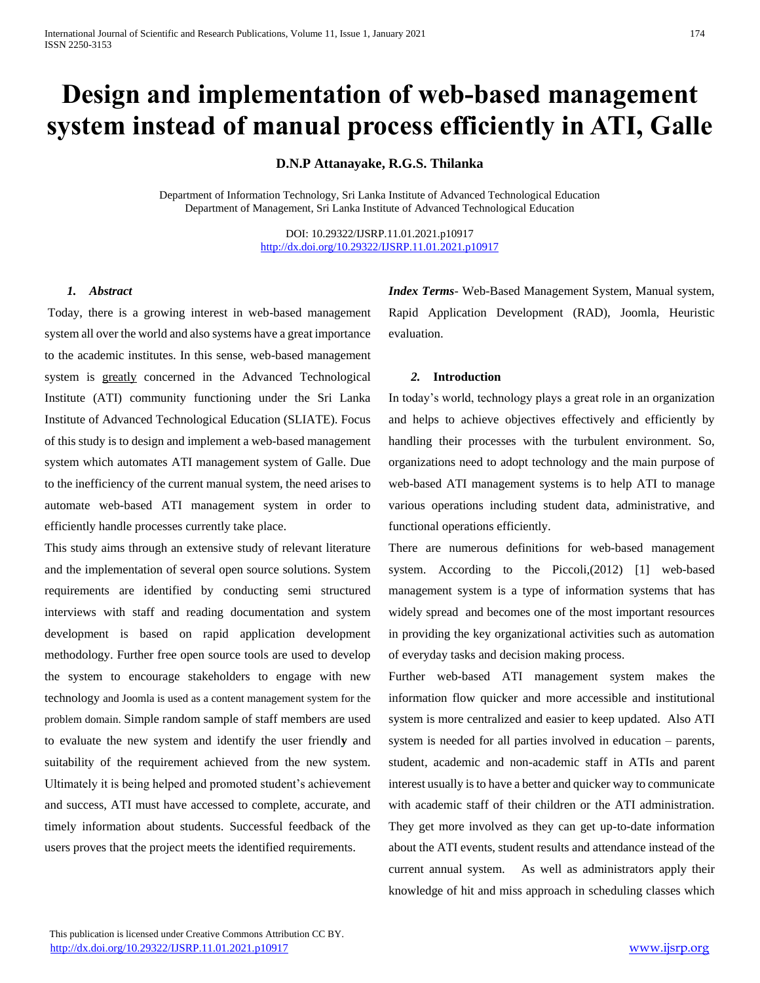# **Design and implementation of web-based management system instead of manual process efficiently in ATI, Galle**

**D.N.P Attanayake, R.G.S. Thilanka**

Department of Information Technology, Sri Lanka Institute of Advanced Technological Education Department of Management, Sri Lanka Institute of Advanced Technological Education

> DOI: 10.29322/IJSRP.11.01.2021.p10917 <http://dx.doi.org/10.29322/IJSRP.11.01.2021.p10917>

### *1. Abstract*

Today, there is a growing interest in web-based management system all over the world and also systems have a great importance to the academic institutes. In this sense, web-based management system is greatly concerned in the Advanced Technological Institute (ATI) community functioning under the Sri Lanka Institute of Advanced Technological Education (SLIATE). Focus of this study is to design and implement a web-based management system which automates ATI management system of Galle. Due to the inefficiency of the current manual system, the need arises to automate web-based ATI management system in order to efficiently handle processes currently take place.

This study aims through an extensive study of relevant literature and the implementation of several open source solutions. System requirements are identified by conducting semi structured interviews with staff and reading documentation and system development is based on rapid application development methodology. Further free open source tools are used to develop the system to encourage stakeholders to engage with new technology and Joomla is used as a content management system for the problem domain. Simple random sample of staff members are used to evaluate the new system and identify the user friendl**y** and suitability of the requirement achieved from the new system. Ultimately it is being helped and promoted student's achievement and success, ATI must have accessed to complete, accurate, and timely information about students. Successful feedback of the users proves that the project meets the identified requirements.

*Index Terms*- Web-Based Management System, Manual system, Rapid Application Development (RAD), Joomla, Heuristic evaluation.

#### *2.* **Introduction**

In today's world, technology plays a great role in an organization and helps to achieve objectives effectively and efficiently by handling their processes with the turbulent environment. So, organizations need to adopt technology and the main purpose of web-based ATI management systems is to help ATI to manage various operations including student data, administrative, and functional operations efficiently.

There are numerous definitions for web-based management system. According to the Piccoli,(2012) [1] web-based management system is a type of information systems that has widely spread and becomes one of the most important resources in providing the key organizational activities such as automation of everyday tasks and decision making process.

Further web-based ATI management system makes the information flow quicker and more accessible and institutional system is more centralized and easier to keep updated. Also ATI system is needed for all parties involved in education – parents, student, academic and non-academic staff in ATIs and parent interest usually is to have a better and quicker way to communicate with academic staff of their children or the ATI administration. They get more involved as they can get up-to-date information about the ATI events, student results and attendance instead of the current annual system. As well as administrators apply their knowledge of hit and miss approach in scheduling classes which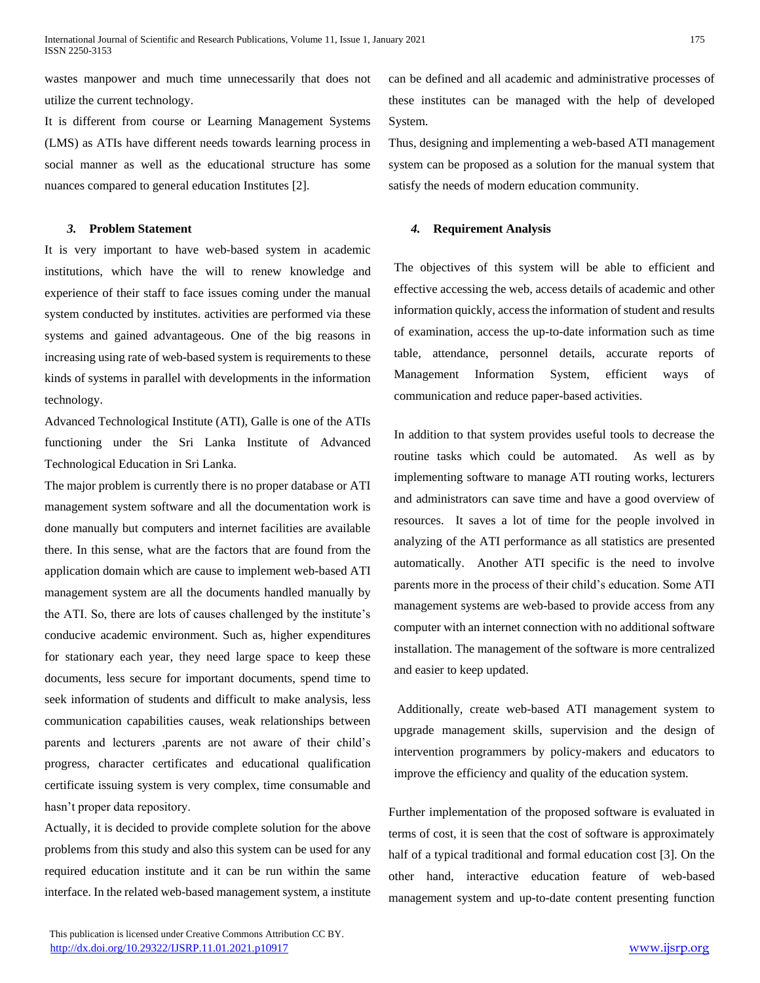wastes manpower and much time unnecessarily that does not utilize the current technology.

It is different from course or Learning Management Systems (LMS) as ATIs have different needs towards learning process in social manner as well as the educational structure has some nuances compared to general education Institutes [2].

#### *3.* **Problem Statement**

It is very important to have web-based system in academic institutions, which have the will to renew knowledge and experience of their staff to face issues coming under the manual system conducted by institutes. activities are performed via these systems and gained advantageous. One of the big reasons in increasing using rate of web-based system is requirements to these kinds of systems in parallel with developments in the information technology.

Advanced Technological Institute (ATI), Galle is one of the ATIs functioning under the Sri Lanka Institute of Advanced Technological Education in Sri Lanka.

The major problem is currently there is no proper database or ATI management system software and all the documentation work is done manually but computers and internet facilities are available there. In this sense, what are the factors that are found from the application domain which are cause to implement web-based ATI management system are all the documents handled manually by the ATI. So, there are lots of causes challenged by the institute's conducive academic environment. Such as, higher expenditures for stationary each year, they need large space to keep these documents, less secure for important documents, spend time to seek information of students and difficult to make analysis, less communication capabilities causes, weak relationships between parents and lecturers ,parents are not aware of their child's progress, character certificates and educational qualification certificate issuing system is very complex, time consumable and hasn't proper data repository.

Actually, it is decided to provide complete solution for the above problems from this study and also this system can be used for any required education institute and it can be run within the same interface. In the related web-based management system, a institute can be defined and all academic and administrative processes of these institutes can be managed with the help of developed System.

Thus, designing and implementing a web-based ATI management system can be proposed as a solution for the manual system that satisfy the needs of modern education community.

#### *4.* **Requirement Analysis**

The objectives of this system will be able to efficient and effective accessing the web, access details of academic and other information quickly, access the information of student and results of examination, access the up-to-date information such as time table, attendance, personnel details, accurate reports of Management Information System, efficient ways of communication and reduce paper-based activities.

In addition to that system provides useful tools to decrease the routine tasks which could be automated. As well as by implementing software to manage ATI routing works, lecturers and administrators can save time and have a good overview of resources. It saves a lot of time for the people involved in analyzing of the ATI performance as all statistics are presented automatically. Another ATI specific is the need to involve parents more in the process of their child's education. Some ATI management systems are web-based to provide access from any computer with an internet connection with no additional software installation. The management of the software is more centralized and easier to keep updated.

Additionally, create web-based ATI management system to upgrade management skills, supervision and the design of intervention programmers by policy-makers and educators to improve the efficiency and quality of the education system.

Further implementation of the proposed software is evaluated in terms of cost, it is seen that the cost of software is approximately half of a typical traditional and formal education cost [3]. On the other hand, interactive education feature of web-based management system and up-to-date content presenting function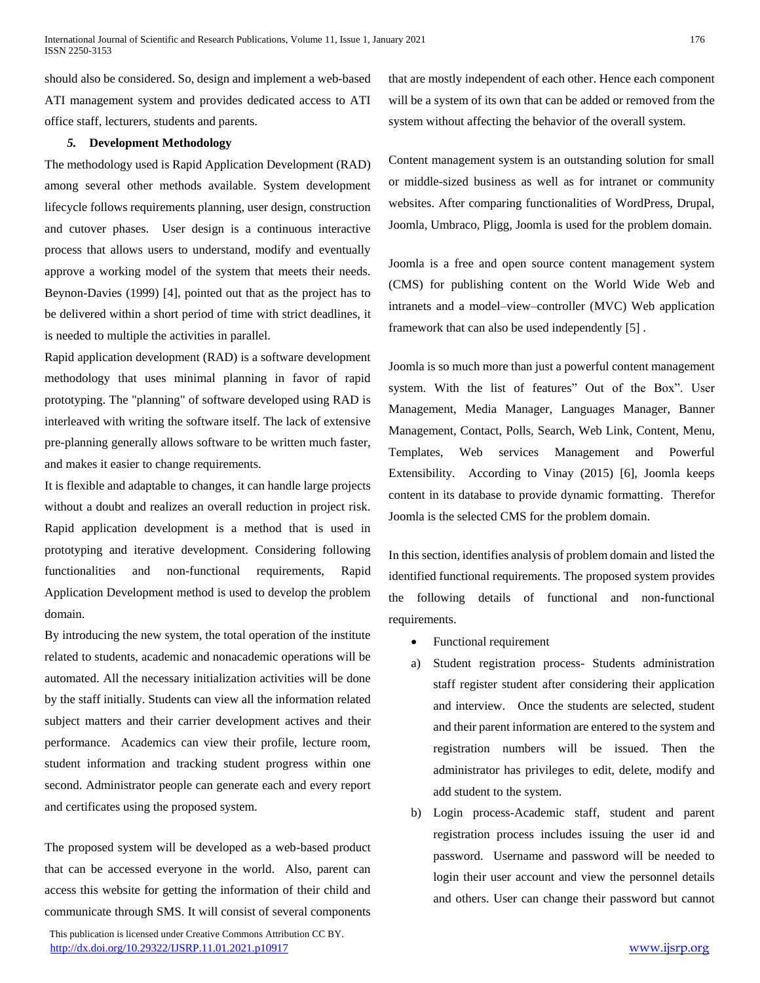should also be considered. So, design and implement a web-based ATI management system and provides dedicated access to ATI office staff, lecturers, students and parents.

## *5.* **Development Methodology**

The methodology used is Rapid Application Development (RAD) among several other methods available. System development lifecycle follows requirements planning, user design, construction and cutover phases. User design is a continuous interactive process that allows users to understand, modify and eventually approve a working model of the system that meets their needs. Beynon-Davies (1999) [4], pointed out that as the project has to be delivered within a short period of time with strict deadlines, it is needed to multiple the activities in parallel.

Rapid application development (RAD) is a software development methodology that uses minimal planning in favor of rapid prototyping. The "planning" of software developed using RAD is interleaved with writing the software itself. The lack of extensive pre-planning generally allows software to be written much faster, and makes it easier to change requirements.

It is flexible and adaptable to changes, it can handle large projects without a doubt and realizes an overall reduction in project risk. Rapid application development is a method that is used in prototyping and iterative development. Considering following functionalities and non-functional requirements, Rapid Application Development method is used to develop the problem domain.

By introducing the new system, the total operation of the institute related to students, academic and nonacademic operations will be automated. All the necessary initialization activities will be done by the staff initially. Students can view all the information related subject matters and their carrier development actives and their performance. Academics can view their profile, lecture room, student information and tracking student progress within one second. Administrator people can generate each and every report and certificates using the proposed system.

The proposed system will be developed as a web-based product that can be accessed everyone in the world. Also, parent can access this website for getting the information of their child and communicate through SMS. It will consist of several components

 This publication is licensed under Creative Commons Attribution CC BY. <http://dx.doi.org/10.29322/IJSRP.11.01.2021.p10917> [www.ijsrp.org](http://ijsrp.org/)

that are mostly independent of each other. Hence each component will be a system of its own that can be added or removed from the system without affecting the behavior of the overall system.

Content management system is an outstanding solution for small or middle-sized business as well as for intranet or community websites. After comparing functionalities of WordPress, Drupal, Joomla, Umbraco, Pligg, Joomla is used for the problem domain.

Joomla is a free and open source content management system (CMS) for publishing content on the World Wide Web and intranets and a model–view–controller (MVC) Web application framework that can also be used independently [5] .

Joomla is so much more than just a powerful content management system. With the list of features" Out of the Box". User Management, Media Manager, Languages Manager, Banner Management, Contact, Polls, Search, Web Link, Content, Menu, Templates, Web services Management and Powerful Extensibility. According to Vinay (2015) [6], Joomla keeps content in its database to provide dynamic formatting. Therefor Joomla is the selected CMS for the problem domain.

In this section, identifies analysis of problem domain and listed the identified functional requirements. The proposed system provides the following details of functional and non-functional requirements.

- Functional requirement
- a) Student registration process- Students administration staff register student after considering their application and interview. Once the students are selected, student and their parent information are entered to the system and registration numbers will be issued. Then the administrator has privileges to edit, delete, modify and add student to the system.
- b) Login process-Academic staff, student and parent registration process includes issuing the user id and password. Username and password will be needed to login their user account and view the personnel details and others. User can change their password but cannot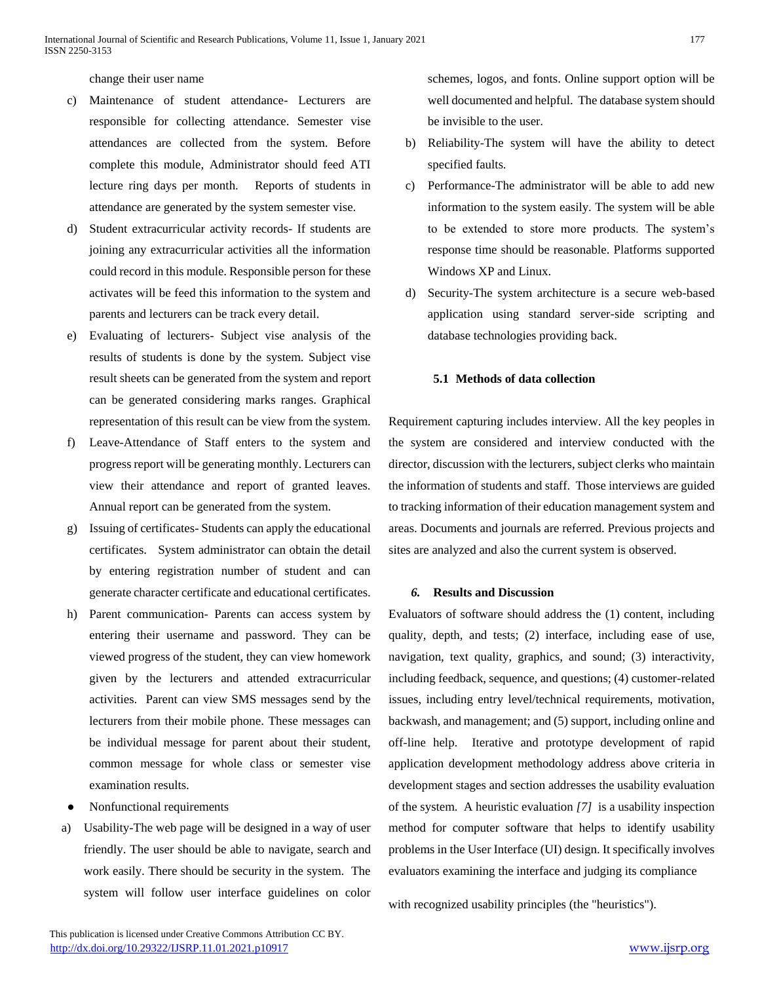change their user name

- c) Maintenance of student attendance- Lecturers are responsible for collecting attendance. Semester vise attendances are collected from the system. Before complete this module, Administrator should feed ATI lecture ring days per month. Reports of students in attendance are generated by the system semester vise.
- d) Student extracurricular activity records- If students are joining any extracurricular activities all the information could record in this module. Responsible person for these activates will be feed this information to the system and parents and lecturers can be track every detail.
- e) Evaluating of lecturers- Subject vise analysis of the results of students is done by the system. Subject vise result sheets can be generated from the system and report can be generated considering marks ranges. Graphical representation of this result can be view from the system.
- f) Leave-Attendance of Staff enters to the system and progress report will be generating monthly. Lecturers can view their attendance and report of granted leaves. Annual report can be generated from the system.
- g) Issuing of certificates- Students can apply the educational certificates. System administrator can obtain the detail by entering registration number of student and can generate character certificate and educational certificates.
- h) Parent communication- Parents can access system by entering their username and password. They can be viewed progress of the student, they can view homework given by the lecturers and attended extracurricular activities. Parent can view SMS messages send by the lecturers from their mobile phone. These messages can be individual message for parent about their student, common message for whole class or semester vise examination results.
- Nonfunctional requirements
- a) Usability-The web page will be designed in a way of user friendly. The user should be able to navigate, search and work easily. There should be security in the system. The system will follow user interface guidelines on color

schemes, logos, and fonts. Online support option will be well documented and helpful. The database system should be invisible to the user.

- b) Reliability-The system will have the ability to detect specified faults.
- c) Performance-The administrator will be able to add new information to the system easily. The system will be able to be extended to store more products. The system's response time should be reasonable. Platforms supported Windows XP and Linux.
- d) Security-The system architecture is a secure web-based application using standard server-side scripting and database technologies providing back.

## **5.1 Methods of data collection**

Requirement capturing includes interview. All the key peoples in the system are considered and interview conducted with the director, discussion with the lecturers, subject clerks who maintain the information of students and staff. Those interviews are guided to tracking information of their education management system and areas. Documents and journals are referred. Previous projects and sites are analyzed and also the current system is observed.

#### *6.* **Results and Discussion**

Evaluators of software should address the (1) content, including quality, depth, and tests; (2) interface, including ease of use, navigation, text quality, graphics, and sound; (3) interactivity, including feedback, sequence, and questions; (4) customer-related issues, including entry level/technical requirements, motivation, backwash, and management; and (5) support, including online and off-line help. Iterative and prototype development of rapid application development methodology address above criteria in development stages and section addresses the usability evaluation of the system. A heuristic evaluation *[7]* is a usability inspection method for computer software that helps to identify usability problems in the User Interface (UI) design. It specifically involves evaluators examining the interface and judging its compliance

with recognized usability principles (the "heuristics").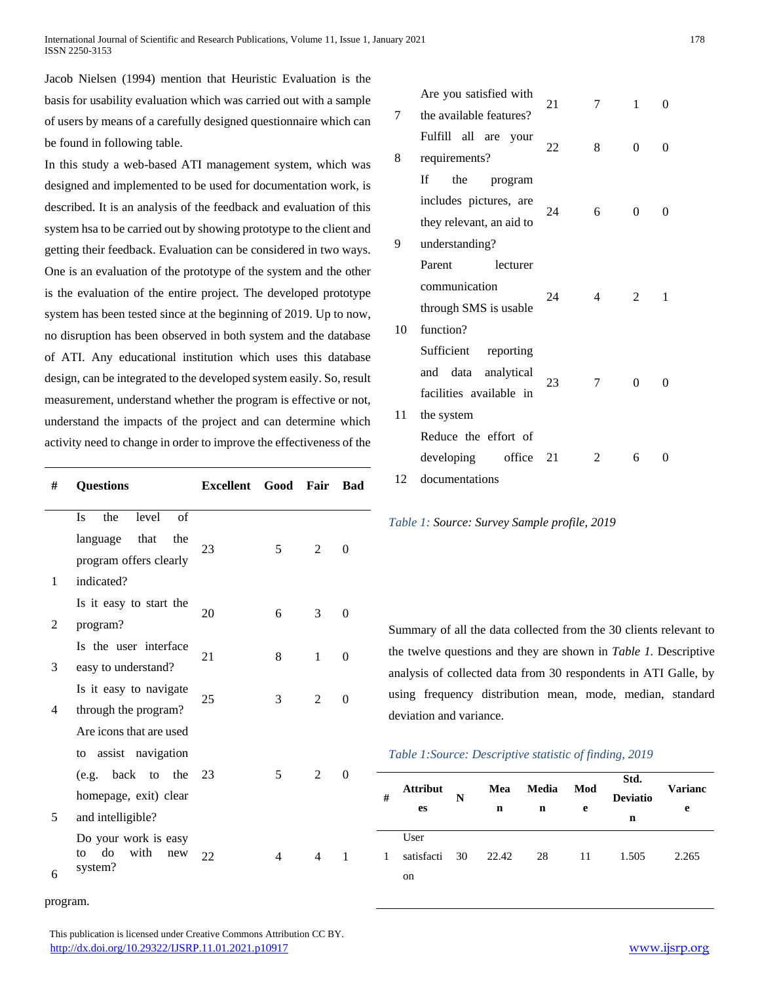Jacob Nielsen (1994) mention that Heuristic Evaluation is the basis for usability evaluation which was carried out with a sample of users by means of a carefully designed questionnaire which can be found in following table.

In this study a web-based ATI management system, which was designed and implemented to be used for documentation work, is described. It is an analysis of the feedback and evaluation of this system hsa to be carried out by showing prototype to the client and getting their feedback. Evaluation can be considered in two ways. One is an evaluation of the prototype of the system and the other is the evaluation of the entire project. The developed prototype system has been tested since at the beginning of 2019. Up to now, no disruption has been observed in both system and the database of ATI. Any educational institution which uses this database design, can be integrated to the developed system easily. So, result measurement, understand whether the program is effective or not, understand the impacts of the project and can determine which activity need to change in order to improve the effectiveness of the

| # | <b>Questions</b>                                           | Excellent Good Fair |   |   | <b>Bad</b>     |
|---|------------------------------------------------------------|---------------------|---|---|----------------|
|   | level<br>of<br>the<br><b>Is</b>                            |                     |   |   |                |
|   | language that<br>the                                       | 23                  |   | 2 |                |
|   | program offers clearly                                     |                     | 5 |   | $\theta$       |
| 1 | indicated?                                                 |                     |   |   |                |
|   | Is it easy to start the                                    |                     |   |   |                |
| 2 | program?                                                   | 20                  | 6 | 3 | 0              |
|   | Is the user interface                                      | 21                  | 8 | 1 | $\theta$       |
| 3 | easy to understand?                                        |                     |   |   |                |
|   | Is it easy to navigate                                     |                     |   | 2 |                |
| 4 | through the program?                                       | 25                  | 3 |   | $\overline{0}$ |
|   | Are icons that are used                                    |                     |   |   |                |
|   | to assist navigation                                       |                     |   |   |                |
|   | (e.g. back to the 23                                       |                     | 5 | 2 | $\theta$       |
|   | homepage, exit) clear                                      |                     |   |   |                |
| 5 | and intelligible?                                          |                     |   |   |                |
| 6 | Do your work is easy<br>do<br>with<br>to<br>new<br>system? | 22                  | 4 | 4 | 1              |

program.

| 4       | Is it easy to navigate                                  | 25 | 3  | 2              | 0 |  |
|---------|---------------------------------------------------------|----|----|----------------|---|--|
|         | through the program?                                    |    |    |                |   |  |
|         | Are icons that are used                                 |    |    |                |   |  |
|         | to assist navigation                                    |    |    |                |   |  |
|         | (e.g. back to the                                       | 23 | 5. | 2              | 0 |  |
|         | homepage, exit) clear                                   |    |    |                |   |  |
| 5       | and intelligible?                                       |    |    |                |   |  |
| 6       | Do your work is easy<br>do with<br>to<br>new<br>system? | 22 | 4  | $\overline{4}$ | 1 |  |
| program |                                                         |    |    |                |   |  |

| This publication is licensed under Creative Commons Attribution CC BY. |               |
|------------------------------------------------------------------------|---------------|
| http://dx.doi.org/10.29322/IJSRP.11.01.2021.p10917                     | www.ijsrp.org |

|    | Are you satisfied with   | 21<br>7 |                | 1        |                   |
|----|--------------------------|---------|----------------|----------|-------------------|
| 7  | the available features?  |         |                |          | 0                 |
|    | Fulfill all are<br>your  | 22      | 8              | $\Omega$ | 0                 |
| 8  | requirements?            |         |                |          |                   |
|    | the<br>If<br>program     |         |                |          |                   |
|    | includes pictures, are   | 24      |                |          |                   |
|    | they relevant, an aid to |         | 6              | $\Omega$ | $\mathbf{\Omega}$ |
| 9  | understanding?           |         |                |          |                   |
|    | Parent<br>lecturer       |         |                |          |                   |
|    | communication            | 24      |                |          | 1                 |
|    | through SMS is usable    |         | 4              | 2        |                   |
| 10 | function?                |         |                |          |                   |
|    | Sufficient<br>reporting  |         |                |          |                   |
|    | and data analytical      |         |                |          |                   |
|    | facilities available in  | 23      | 7              | $\Omega$ | 0                 |
| 11 | the system               |         |                |          |                   |
|    | Reduce the effort of     |         |                |          |                   |
|    | developing<br>office     | 21      | $\mathfrak{D}$ | 6        |                   |
| 12 | documentations           |         |                |          |                   |

*Table 1: Source: Survey Sample profile, 2019*

Summary of all the data collected from the 30 clients relevant to the twelve questions and they are shown in *Table 1.* Descriptive analysis of collected data from 30 respondents in ATI Galle, by using frequency distribution mean, mode, median, standard deviation and variance.

## *Table 1:Source: Descriptive statistic of finding, 2019*

| # | <b>Attribut</b><br>es | N | Mea<br>n | Media<br>n | Mod<br>e | Std.<br><b>Deviatio</b><br>n | <b>Varianc</b><br>e |  |
|---|-----------------------|---|----------|------------|----------|------------------------------|---------------------|--|
|   | User                  |   |          |            |          |                              |                     |  |
| 1 | satisfacti 30         |   | 22.42    | 28         | 11       | 1.505                        | 2.265               |  |
|   | on                    |   |          |            |          |                              |                     |  |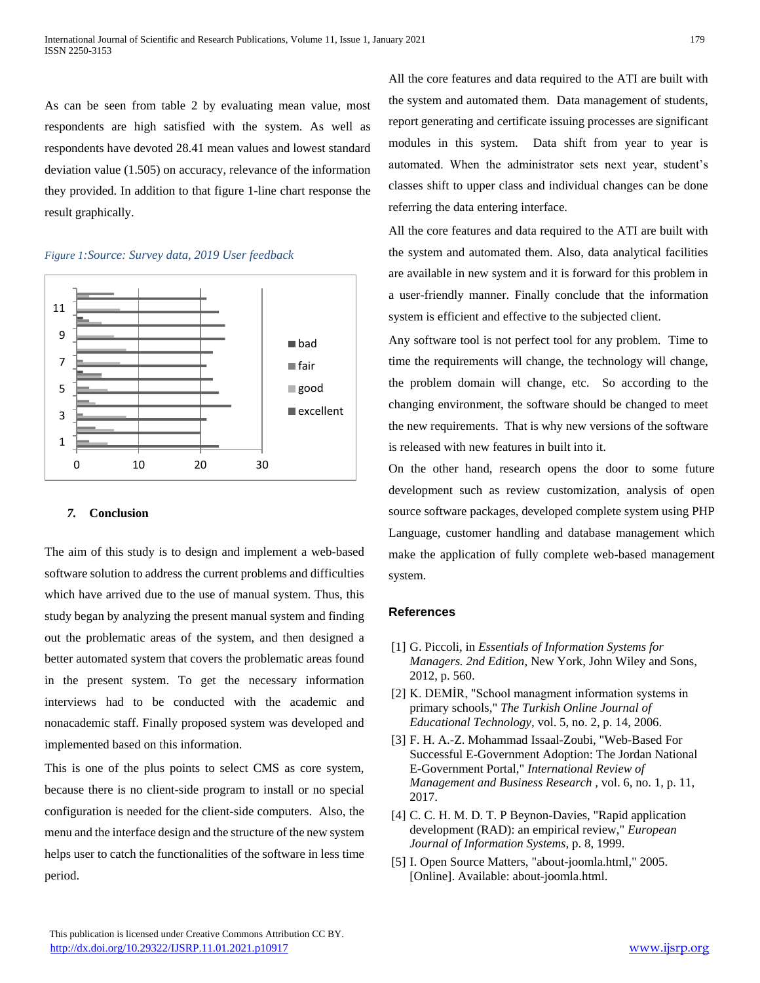As can be seen from table 2 by evaluating mean value, most respondents are high satisfied with the system. As well as respondents have devoted 28.41 mean values and lowest standard deviation value (1.505) on accuracy, relevance of the information they provided. In addition to that figure 1-line chart response the result graphically.



## *Figure 1:Source: Survey data, 2019 User feedback*

## *7.* **Conclusion**

The aim of this study is to design and implement a web-based software solution to address the current problems and difficulties which have arrived due to the use of manual system. Thus, this study began by analyzing the present manual system and finding out the problematic areas of the system, and then designed a better automated system that covers the problematic areas found in the present system. To get the necessary information interviews had to be conducted with the academic and nonacademic staff. Finally proposed system was developed and implemented based on this information.

This is one of the plus points to select CMS as core system, because there is no client-side program to install or no special configuration is needed for the client-side computers. Also, the menu and the interface design and the structure of the new system helps user to catch the functionalities of the software in less time period.

All the core features and data required to the ATI are built with the system and automated them. Data management of students, report generating and certificate issuing processes are significant modules in this system. Data shift from year to year is automated. When the administrator sets next year, student's classes shift to upper class and individual changes can be done referring the data entering interface.

All the core features and data required to the ATI are built with the system and automated them. Also, data analytical facilities are available in new system and it is forward for this problem in a user-friendly manner. Finally conclude that the information system is efficient and effective to the subjected client.

Any software tool is not perfect tool for any problem. Time to time the requirements will change, the technology will change, the problem domain will change, etc. So according to the changing environment, the software should be changed to meet the new requirements. That is why new versions of the software is released with new features in built into it.

On the other hand, research opens the door to some future development such as review customization, analysis of open source software packages, developed complete system using PHP Language, customer handling and database management which make the application of fully complete web-based management system.

#### **References**

- [1] G. Piccoli, in *Essentials of Information Systems for Managers. 2nd Edition*, New York, John Wiley and Sons, 2012, p. 560.
- [2] K. DEMİR, "School managment information systems in primary schools," *The Turkish Online Journal of Educational Technology,* vol. 5, no. 2, p. 14, 2006.
- [3] F. H. A.-Z. Mohammad Issaal-Zoubi, "Web-Based For Successful E-Government Adoption: The Jordan National E-Government Portal," *International Review of Management and Business Research ,* vol. 6, no. 1, p. 11, 2017.
- [4] C. C. H. M. D. T. P Beynon-Davies, "Rapid application development (RAD): an empirical review," *European Journal of Information Systems,* p. 8, 1999.
- [5] I. Open Source Matters, "about-joomla.html," 2005. [Online]. Available: about-joomla.html.